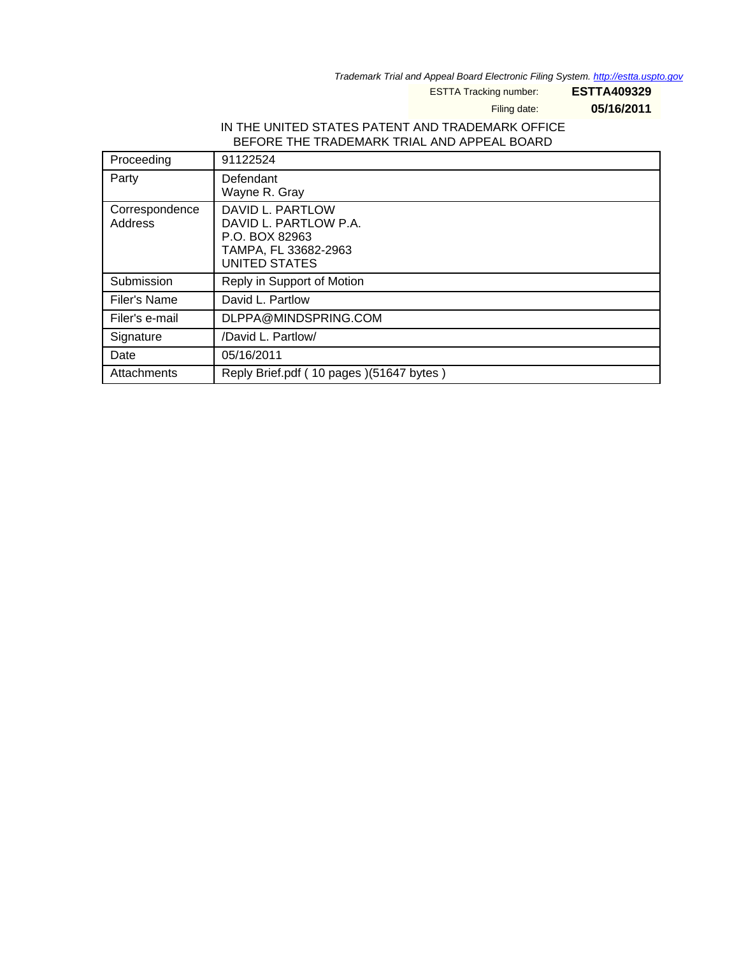Trademark Trial and Appeal Board Electronic Filing System. <http://estta.uspto.gov>

ESTTA Tracking number: **ESTTA409329**

Filing date: **05/16/2011**

# IN THE UNITED STATES PATENT AND TRADEMARK OFFICE BEFORE THE TRADEMARK TRIAL AND APPEAL BOARD

| Proceeding                | 91122524                                                                                             |
|---------------------------|------------------------------------------------------------------------------------------------------|
| Party                     | Defendant<br>Wayne R. Gray                                                                           |
| Correspondence<br>Address | DAVID L. PARTLOW<br>DAVID L. PARTLOW P.A.<br>P.O. BOX 82963<br>TAMPA, FL 33682-2963<br>UNITED STATES |
| Submission                | Reply in Support of Motion                                                                           |
| Filer's Name              | David L. Partlow                                                                                     |
| Filer's e-mail            | DLPPA@MINDSPRING.COM                                                                                 |
| Signature                 | /David L. Partlow/                                                                                   |
| Date                      | 05/16/2011                                                                                           |
| Attachments               | Reply Brief.pdf (10 pages) (51647 bytes)                                                             |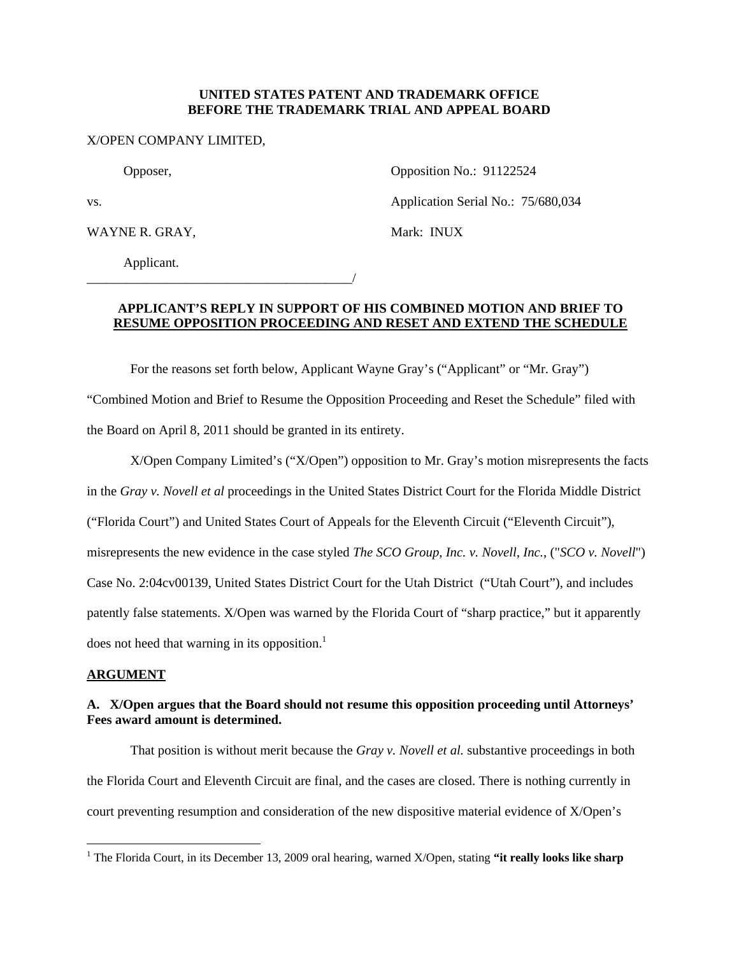#### **UNITED STATES PATENT AND TRADEMARK OFFICE BEFORE THE TRADEMARK TRIAL AND APPEAL BOARD**

#### X/OPEN COMPANY LIMITED,

Opposer, Opposition No.: 91122524

WAYNE R. GRAY, Mark: INUX

vs. **Application Serial No.: 75/680,034** 

Applicant.

\_\_\_\_\_\_\_\_\_\_\_\_\_\_\_\_\_\_\_\_\_\_\_\_\_\_\_\_\_\_\_\_\_\_\_\_\_\_\_\_/

# **APPLICANT'S REPLY IN SUPPORT OF HIS COMBINED MOTION AND BRIEF TO**

# **RESUME OPPOSITION PROCEEDING AND RESET AND EXTEND THE SCHEDULE**

For the reasons set forth below, Applicant Wayne Gray's ("Applicant" or "Mr. Gray") "Combined Motion and Brief to Resume the Opposition Proceeding and Reset the Schedule" filed with the Board on April 8, 2011 should be granted in its entirety.

X/Open Company Limited's ("X/Open") opposition to Mr. Gray's motion misrepresents the facts in the *Gray v. Novell et al* proceedings in the United States District Court for the Florida Middle District ("Florida Court") and United States Court of Appeals for the Eleventh Circuit ("Eleventh Circuit"), misrepresents the new evidence in the case styled *The SCO Group, Inc. v. Novell, Inc.*, ("*SCO v. Novell*") Case No. 2:04cv00139, United States District Court for the Utah District ("Utah Court"), and includes patently false statements. X/Open was warned by the Florida Court of "sharp practice," but it apparently does not heed that warning in its opposition.<sup>1</sup>

## **ARGUMENT**

# **A. X/Open argues that the Board should not resume this opposition proceeding until Attorneys' Fees award amount is determined.**

That position is without merit because the *Gray v. Novell et al.* substantive proceedings in both the Florida Court and Eleventh Circuit are final, and the cases are closed. There is nothing currently in court preventing resumption and consideration of the new dispositive material evidence of X/Open's

<sup>&</sup>lt;u>.</u> <sup>1</sup> The Florida Court, in its December 13, 2009 oral hearing, warned X/Open, stating "it really looks like sharp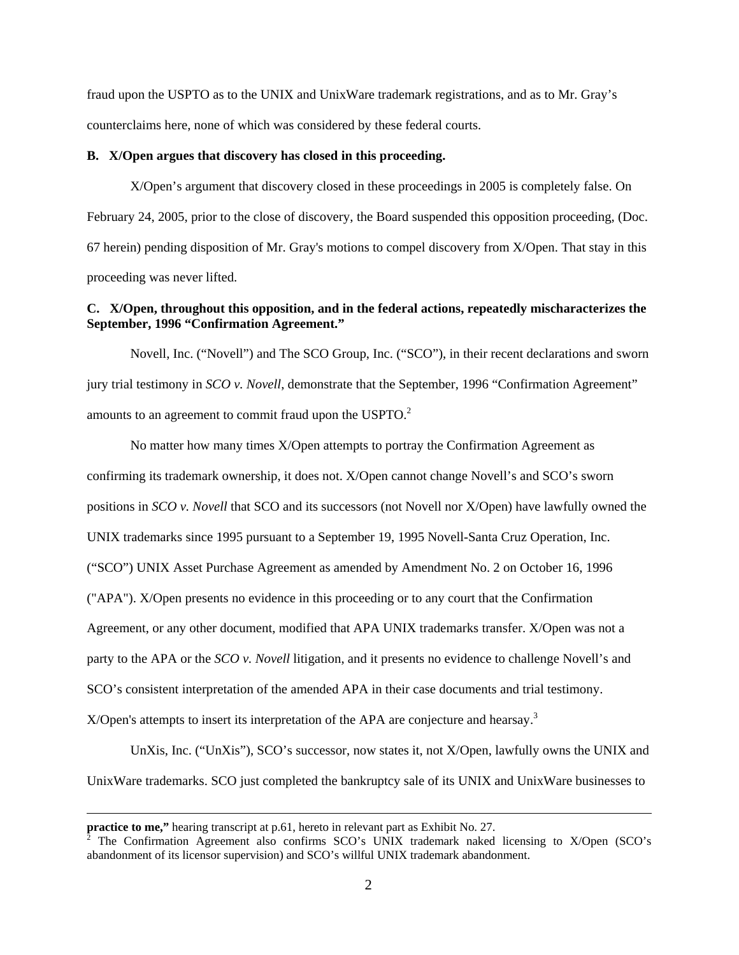fraud upon the USPTO as to the UNIX and UnixWare trademark registrations, and as to Mr. Gray's counterclaims here, none of which was considered by these federal courts.

#### **B. X/Open argues that discovery has closed in this proceeding.**

X/Open's argument that discovery closed in these proceedings in 2005 is completely false. On February 24, 2005, prior to the close of discovery, the Board suspended this opposition proceeding, (Doc. 67 herein) pending disposition of Mr. Gray's motions to compel discovery from X/Open. That stay in this proceeding was never lifted.

### **C. X/Open, throughout this opposition, and in the federal actions, repeatedly mischaracterizes the September, 1996 "Confirmation Agreement."**

Novell, Inc. ("Novell") and The SCO Group, Inc. ("SCO"), in their recent declarations and sworn jury trial testimony in *SCO v. Novell*, demonstrate that the September, 1996 "Confirmation Agreement" amounts to an agreement to commit fraud upon the USPTO.<sup>2</sup>

No matter how many times X/Open attempts to portray the Confirmation Agreement as confirming its trademark ownership, it does not. X/Open cannot change Novell's and SCO's sworn positions in *SCO v. Novell* that SCO and its successors (not Novell nor X/Open) have lawfully owned the UNIX trademarks since 1995 pursuant to a September 19, 1995 Novell-Santa Cruz Operation, Inc. ("SCO") UNIX Asset Purchase Agreement as amended by Amendment No. 2 on October 16, 1996 ("APA"). X/Open presents no evidence in this proceeding or to any court that the Confirmation Agreement, or any other document, modified that APA UNIX trademarks transfer. X/Open was not a party to the APA or the *SCO v. Novell* litigation, and it presents no evidence to challenge Novell's and SCO's consistent interpretation of the amended APA in their case documents and trial testimony.  $X$ Open's attempts to insert its interpretation of the APA are conjecture and hearsay.<sup>3</sup>

UnXis, Inc. ("UnXis"), SCO's successor, now states it, not X/Open, lawfully owns the UNIX and UnixWare trademarks. SCO just completed the bankruptcy sale of its UNIX and UnixWare businesses to

 $\overline{a}$ 

**practice to me,"** hearing transcript at p.61, hereto in relevant part as Exhibit No. 27.

 $2^2$  The Confirmation Agreement also confirms SCO's UNIX trademark naked licensing to X/Open (SCO's abandonment of its licensor supervision) and SCO's willful UNIX trademark abandonment.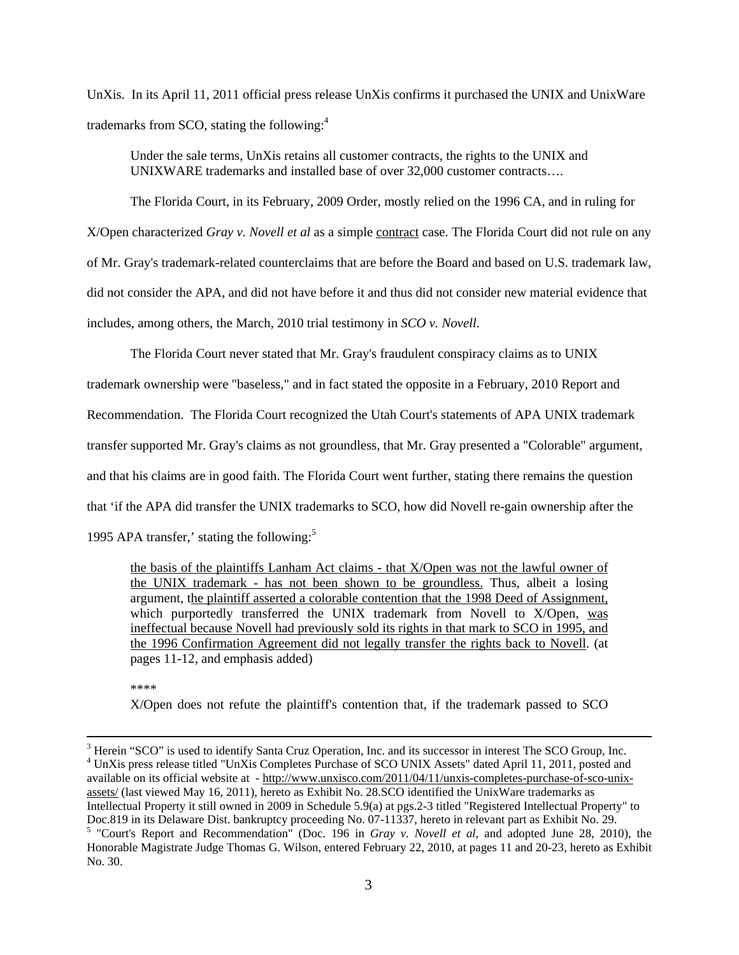UnXis. In its April 11, 2011 official press release UnXis confirms it purchased the UNIX and UnixWare trademarks from SCO, stating the following:<sup>4</sup>

Under the sale terms, UnXis retains all customer contracts, the rights to the UNIX and UNIXWARE trademarks and installed base of over 32,000 customer contracts….

The Florida Court, in its February, 2009 Order, mostly relied on the 1996 CA, and in ruling for X/Open characterized *Gray v. Novell et al* as a simple contract case. The Florida Court did not rule on any of Mr. Gray's trademark-related counterclaims that are before the Board and based on U.S. trademark law, did not consider the APA, and did not have before it and thus did not consider new material evidence that includes, among others, the March, 2010 trial testimony in *SCO v. Novell*.

 The Florida Court never stated that Mr. Gray's fraudulent conspiracy claims as to UNIX trademark ownership were "baseless," and in fact stated the opposite in a February, 2010 Report and Recommendation. The Florida Court recognized the Utah Court's statements of APA UNIX trademark transfer supported Mr. Gray's claims as not groundless, that Mr. Gray presented a "Colorable" argument, and that his claims are in good faith. The Florida Court went further, stating there remains the question that 'if the APA did transfer the UNIX trademarks to SCO, how did Novell re-gain ownership after the 1995 APA transfer,' stating the following:<sup>5</sup>

the basis of the plaintiffs Lanham Act claims - that X/Open was not the lawful owner of the UNIX trademark - has not been shown to be groundless. Thus, albeit a losing argument, the plaintiff asserted a colorable contention that the 1998 Deed of Assignment, which purportedly transferred the UNIX trademark from Novell to X/Open, was ineffectual because Novell had previously sold its rights in that mark to SCO in 1995, and the 1996 Confirmation Agreement did not legally transfer the rights back to Novell. (at pages 11-12, and emphasis added)

\*\*\*\*

 $\overline{a}$ 

X/Open does not refute the plaintiff's contention that, if the trademark passed to SCO

<sup>&</sup>lt;sup>3</sup> Herein "SCO" is used to identify Santa Cruz Operation, Inc. and its successor in interest The SCO Group, Inc. <sup>4</sup> UnXis press release titled "UnXis Completes Purchase of SCO UNIX Assets" dated April 11, 2011, posted and available on its official website at - http://www.unxisco.com/2011/04/11/unxis-completes-purchase-of-sco-unixassets/ (last viewed May 16, 2011), hereto as Exhibit No. 28.SCO identified the UnixWare trademarks as Intellectual Property it still owned in 2009 in Schedule 5.9(a) at pgs.2-3 titled "Registered Intellectual Property" to Doc.819 in its Delaware Dist. bankruptcy proceeding No. 07-11337, hereto in relevant part as Exhibit No. 29. 5 "Court's Report and Recommendation" (Doc. 196 in *Gray v. Novell et al*, and adopted June 28, 2010), the

Honorable Magistrate Judge Thomas G. Wilson, entered February 22, 2010, at pages 11 and 20-23, hereto as Exhibit No. 30.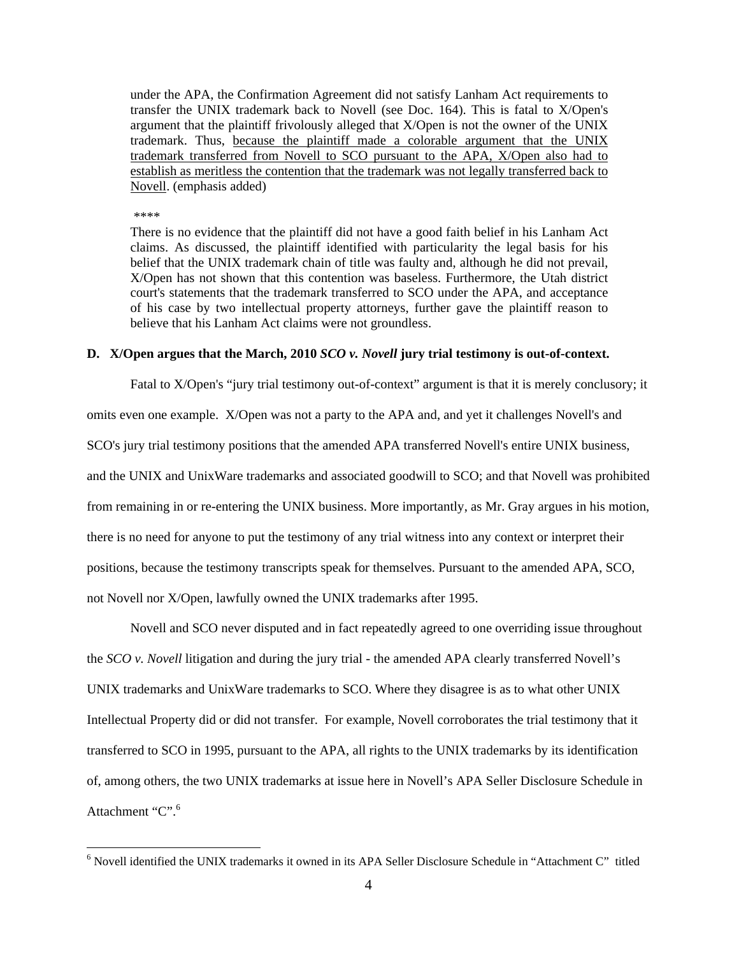under the APA, the Confirmation Agreement did not satisfy Lanham Act requirements to transfer the UNIX trademark back to Novell (see Doc. 164). This is fatal to X/Open's argument that the plaintiff frivolously alleged that X/Open is not the owner of the UNIX trademark. Thus, because the plaintiff made a colorable argument that the UNIX trademark transferred from Novell to SCO pursuant to the APA, X/Open also had to establish as meritless the contention that the trademark was not legally transferred back to Novell. (emphasis added)

\*\*\*\*

<u>.</u>

There is no evidence that the plaintiff did not have a good faith belief in his Lanham Act claims. As discussed, the plaintiff identified with particularity the legal basis for his belief that the UNIX trademark chain of title was faulty and, although he did not prevail, X/Open has not shown that this contention was baseless. Furthermore, the Utah district court's statements that the trademark transferred to SCO under the APA, and acceptance of his case by two intellectual property attorneys, further gave the plaintiff reason to believe that his Lanham Act claims were not groundless.

#### **D. X/Open argues that the March, 2010** *SCO v. Novell* **jury trial testimony is out-of-context.**

Fatal to X/Open's "jury trial testimony out-of-context" argument is that it is merely conclusory; it omits even one example. X/Open was not a party to the APA and, and yet it challenges Novell's and SCO's jury trial testimony positions that the amended APA transferred Novell's entire UNIX business, and the UNIX and UnixWare trademarks and associated goodwill to SCO; and that Novell was prohibited from remaining in or re-entering the UNIX business. More importantly, as Mr. Gray argues in his motion, there is no need for anyone to put the testimony of any trial witness into any context or interpret their positions, because the testimony transcripts speak for themselves. Pursuant to the amended APA, SCO, not Novell nor X/Open, lawfully owned the UNIX trademarks after 1995.

Novell and SCO never disputed and in fact repeatedly agreed to one overriding issue throughout the *SCO v. Novell* litigation and during the jury trial - the amended APA clearly transferred Novell's UNIX trademarks and UnixWare trademarks to SCO. Where they disagree is as to what other UNIX Intellectual Property did or did not transfer. For example, Novell corroborates the trial testimony that it transferred to SCO in 1995, pursuant to the APA, all rights to the UNIX trademarks by its identification of, among others, the two UNIX trademarks at issue here in Novell's APA Seller Disclosure Schedule in Attachment "C".<sup>6</sup>

<sup>6</sup> Novell identified the UNIX trademarks it owned in its APA Seller Disclosure Schedule in "Attachment C" titled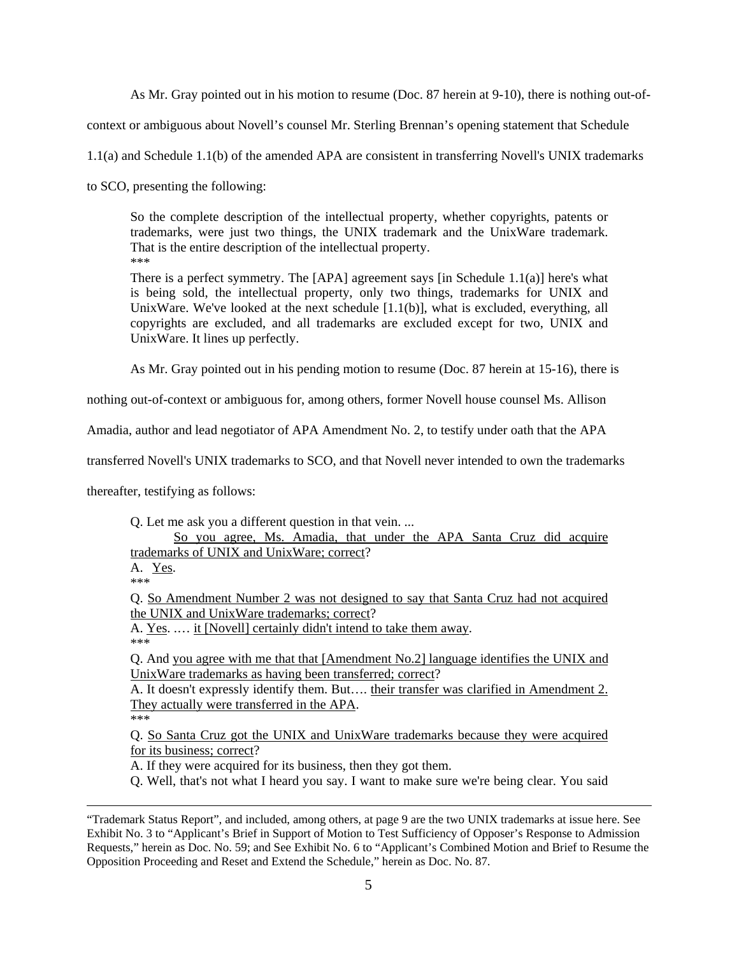As Mr. Gray pointed out in his motion to resume (Doc. 87 herein at 9-10), there is nothing out-of-

context or ambiguous about Novell's counsel Mr. Sterling Brennan's opening statement that Schedule

1.1(a) and Schedule 1.1(b) of the amended APA are consistent in transferring Novell's UNIX trademarks

to SCO, presenting the following:

So the complete description of the intellectual property, whether copyrights, patents or trademarks, were just two things, the UNIX trademark and the UnixWare trademark. That is the entire description of the intellectual property. \*\*\*

There is a perfect symmetry. The [APA] agreement says [in Schedule 1.1(a)] here's what is being sold, the intellectual property, only two things, trademarks for UNIX and UnixWare. We've looked at the next schedule [1.1(b)], what is excluded, everything, all copyrights are excluded, and all trademarks are excluded except for two, UNIX and UnixWare. It lines up perfectly.

As Mr. Gray pointed out in his pending motion to resume (Doc. 87 herein at 15-16), there is

nothing out-of-context or ambiguous for, among others, former Novell house counsel Ms. Allison

Amadia, author and lead negotiator of APA Amendment No. 2, to testify under oath that the APA

transferred Novell's UNIX trademarks to SCO, and that Novell never intended to own the trademarks

thereafter, testifying as follows:

Q. Let me ask you a different question in that vein. ...

So you agree, Ms. Amadia, that under the APA Santa Cruz did acquire trademarks of UNIX and UnixWare; correct?

A. Yes. \*\*\*

Q. So Amendment Number 2 was not designed to say that Santa Cruz had not acquired the UNIX and UnixWare trademarks; correct?

A. Yes. .… it [Novell] certainly didn't intend to take them away. \*\*\*

Q. And you agree with me that that [Amendment No.2] language identifies the UNIX and UnixWare trademarks as having been transferred; correct?

A. It doesn't expressly identify them. But…. their transfer was clarified in Amendment 2. They actually were transferred in the APA.

\*\*\*

 $\overline{a}$ 

Q. So Santa Cruz got the UNIX and UnixWare trademarks because they were acquired for its business; correct?

A. If they were acquired for its business, then they got them.

Q. Well, that's not what I heard you say. I want to make sure we're being clear. You said

<sup>&</sup>quot;Trademark Status Report", and included, among others, at page 9 are the two UNIX trademarks at issue here. See Exhibit No. 3 to "Applicant's Brief in Support of Motion to Test Sufficiency of Opposer's Response to Admission Requests," herein as Doc. No. 59; and See Exhibit No. 6 to "Applicant's Combined Motion and Brief to Resume the Opposition Proceeding and Reset and Extend the Schedule," herein as Doc. No. 87.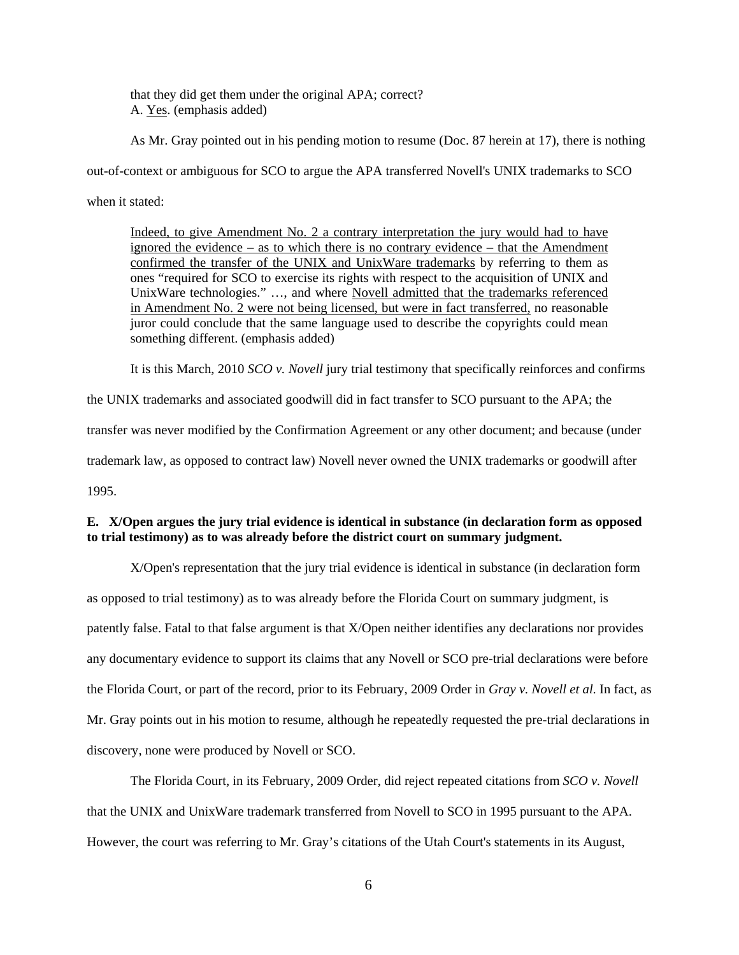that they did get them under the original APA; correct? A. Yes. (emphasis added)

As Mr. Gray pointed out in his pending motion to resume (Doc. 87 herein at 17), there is nothing

out-of-context or ambiguous for SCO to argue the APA transferred Novell's UNIX trademarks to SCO

when it stated:

Indeed, to give Amendment No. 2 a contrary interpretation the jury would had to have ignored the evidence – as to which there is no contrary evidence – that the Amendment confirmed the transfer of the UNIX and UnixWare trademarks by referring to them as ones "required for SCO to exercise its rights with respect to the acquisition of UNIX and UnixWare technologies." ..., and where Novell admitted that the trademarks referenced in Amendment No. 2 were not being licensed, but were in fact transferred, no reasonable juror could conclude that the same language used to describe the copyrights could mean something different. (emphasis added)

It is this March, 2010 *SCO v. Novell* jury trial testimony that specifically reinforces and confirms

the UNIX trademarks and associated goodwill did in fact transfer to SCO pursuant to the APA; the

transfer was never modified by the Confirmation Agreement or any other document; and because (under

trademark law, as opposed to contract law) Novell never owned the UNIX trademarks or goodwill after

1995.

# **E. X/Open argues the jury trial evidence is identical in substance (in declaration form as opposed to trial testimony) as to was already before the district court on summary judgment.**

X/Open's representation that the jury trial evidence is identical in substance (in declaration form as opposed to trial testimony) as to was already before the Florida Court on summary judgment, is patently false. Fatal to that false argument is that X/Open neither identifies any declarations nor provides any documentary evidence to support its claims that any Novell or SCO pre-trial declarations were before the Florida Court, or part of the record, prior to its February, 2009 Order in *Gray v. Novell et al*. In fact, as Mr. Gray points out in his motion to resume, although he repeatedly requested the pre-trial declarations in discovery, none were produced by Novell or SCO.

The Florida Court, in its February, 2009 Order, did reject repeated citations from *SCO v. Novell* that the UNIX and UnixWare trademark transferred from Novell to SCO in 1995 pursuant to the APA. However, the court was referring to Mr. Gray's citations of the Utah Court's statements in its August,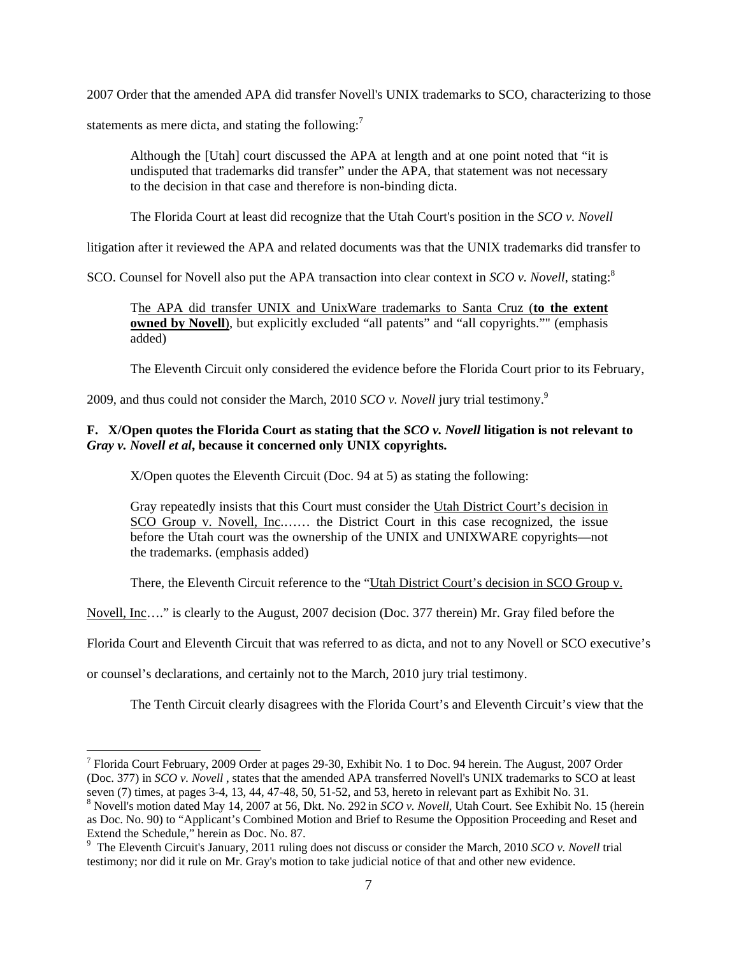2007 Order that the amended APA did transfer Novell's UNIX trademarks to SCO, characterizing to those statements as mere dicta, and stating the following:<sup>7</sup>

Although the [Utah] court discussed the APA at length and at one point noted that "it is undisputed that trademarks did transfer" under the APA, that statement was not necessary to the decision in that case and therefore is non-binding dicta.

The Florida Court at least did recognize that the Utah Court's position in the *SCO v. Novell*

litigation after it reviewed the APA and related documents was that the UNIX trademarks did transfer to

SCO. Counsel for Novell also put the APA transaction into clear context in *SCO v. Novell*, stating:<sup>8</sup>

The APA did transfer UNIX and UnixWare trademarks to Santa Cruz (**to the extent owned by Novell**), but explicitly excluded "all patents" and "all copyrights."" (emphasis added)

The Eleventh Circuit only considered the evidence before the Florida Court prior to its February,

2009, and thus could not consider the March, 2010 *SCO v. Novell* jury trial testimony.<sup>9</sup>

## **F. X/Open quotes the Florida Court as stating that the** *SCO v. Novell* **litigation is not relevant to** *Gray v. Novell et al***, because it concerned only UNIX copyrights.**

X/Open quotes the Eleventh Circuit (Doc. 94 at 5) as stating the following:

Gray repeatedly insists that this Court must consider the Utah District Court's decision in SCO Group v. Novell, Inc....... the District Court in this case recognized, the issue before the Utah court was the ownership of the UNIX and UNIXWARE copyrights—not the trademarks. (emphasis added)

There, the Eleventh Circuit reference to the "Utah District Court's decision in SCO Group v.

Novell, Inc…." is clearly to the August, 2007 decision (Doc. 377 therein) Mr. Gray filed before the

Florida Court and Eleventh Circuit that was referred to as dicta, and not to any Novell or SCO executive's

or counsel's declarations, and certainly not to the March, 2010 jury trial testimony.

 $\overline{a}$ 

The Tenth Circuit clearly disagrees with the Florida Court's and Eleventh Circuit's view that the

<sup>&</sup>lt;sup>7</sup> Florida Court February, 2009 Order at pages 29-30, Exhibit No. 1 to Doc. 94 herein. The August, 2007 Order (Doc. 377) in *SCO v. Novell* , states that the amended APA transferred Novell's UNIX trademarks to SCO at least seven (7) times, at pages 3-4, 13, 44, 47-48, 50, 51-52, and 53, hereto in relevant part as Exhibit No. 31.

<sup>8</sup> Novell's motion dated May 14, 2007 at 56, Dkt. No. 292 in *SCO v. Novell*, Utah Court. See Exhibit No. 15 (herein as Doc. No. 90) to "Applicant's Combined Motion and Brief to Resume the Opposition Proceeding and Reset and Extend the Schedule," herein as Doc. No. 87.

<sup>9</sup> The Eleventh Circuit's January, 2011 ruling does not discuss or consider the March, 2010 *SCO v. Novell* trial testimony; nor did it rule on Mr. Gray's motion to take judicial notice of that and other new evidence.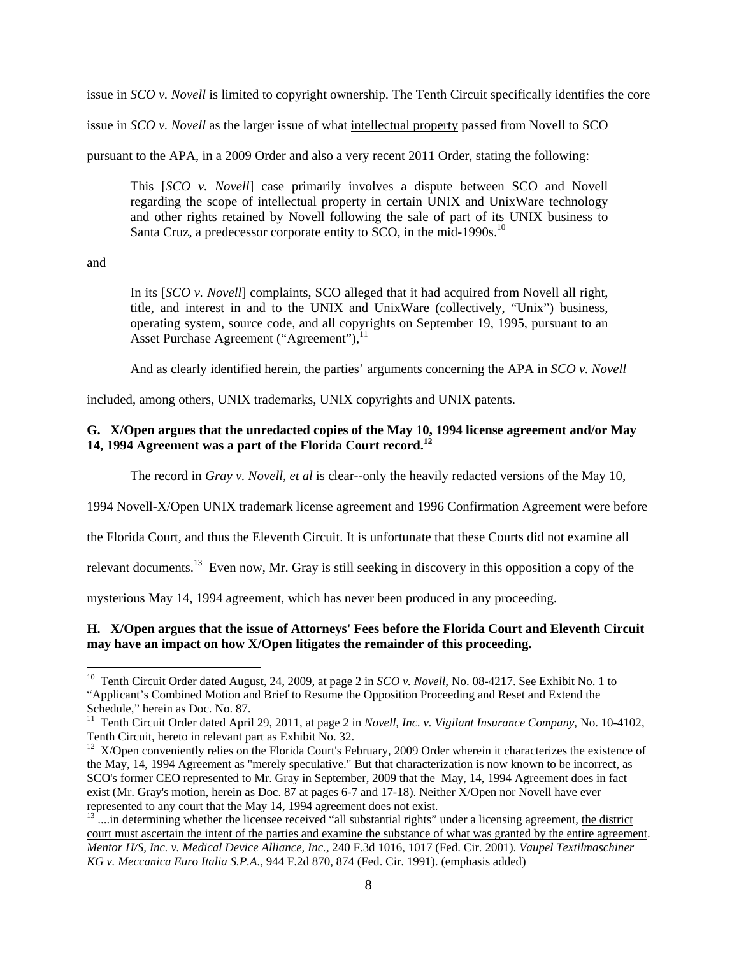issue in *SCO v. Novell* is limited to copyright ownership. The Tenth Circuit specifically identifies the core

issue in *SCO v. Novell* as the larger issue of what intellectual property passed from Novell to SCO

pursuant to the APA, in a 2009 Order and also a very recent 2011 Order, stating the following:

This [*SCO v. Novell*] case primarily involves a dispute between SCO and Novell regarding the scope of intellectual property in certain UNIX and UnixWare technology and other rights retained by Novell following the sale of part of its UNIX business to Santa Cruz, a predecessor corporate entity to SCO, in the mid-1990s.<sup>10</sup>

and

 $\overline{a}$ 

In its [*SCO v. Novell*] complaints, SCO alleged that it had acquired from Novell all right, title, and interest in and to the UNIX and UnixWare (collectively, "Unix") business, operating system, source code, and all copyrights on September 19, 1995, pursuant to an Asset Purchase Agreement ("Agreement"), $^{11}$ 

And as clearly identified herein, the parties' arguments concerning the APA in *SCO v. Novell*

included, among others, UNIX trademarks, UNIX copyrights and UNIX patents.

## **G. X/Open argues that the unredacted copies of the May 10, 1994 license agreement and/or May 14, 1994 Agreement was a part of the Florida Court record.<sup>12</sup>**

The record in *Gray v. Novell, et al* is clear--only the heavily redacted versions of the May 10,

1994 Novell-X/Open UNIX trademark license agreement and 1996 Confirmation Agreement were before

the Florida Court, and thus the Eleventh Circuit. It is unfortunate that these Courts did not examine all

relevant documents.<sup>13</sup> Even now, Mr. Gray is still seeking in discovery in this opposition a copy of the

mysterious May 14, 1994 agreement, which has never been produced in any proceeding.

## **H. X/Open argues that the issue of Attorneys' Fees before the Florida Court and Eleventh Circuit may have an impact on how X/Open litigates the remainder of this proceeding.**

<sup>&</sup>lt;sup>10</sup> Tenth Circuit Order dated August, 24, 2009, at page 2 in *SCO v. Novell*, No. 08-4217. See Exhibit No. 1 to "Applicant's Combined Motion and Brief to Resume the Opposition Proceeding and Reset and Extend the Schedule," herein as Doc. No. 87.

<sup>&</sup>lt;sup>11</sup> Tenth Circuit Order dated April 29, 2011, at page 2 in *Novell, Inc. v. Vigilant Insurance Company*, No. 10-4102, Tenth Circuit, hereto in relevant part as Exhibit No. 32.

<sup>&</sup>lt;sup>12</sup> X/Open conveniently relies on the Florida Court's February, 2009 Order wherein it characterizes the existence of the May, 14, 1994 Agreement as "merely speculative." But that characterization is now known to be incorrect, as SCO's former CEO represented to Mr. Gray in September, 2009 that the May, 14, 1994 Agreement does in fact exist (Mr. Gray's motion, herein as Doc. 87 at pages 6-7 and 17-18). Neither X/Open nor Novell have ever represented to any court that the May 14, 1994 agreement does not exist.

 $13$ ...in determining whether the licensee received "all substantial rights" under a licensing agreement, the district court must ascertain the intent of the parties and examine the substance of what was granted by the entire agreement. *Mentor H/S, Inc. v. Medical Device Alliance, Inc.,* 240 F.3d 1016, 1017 (Fed. Cir. 2001). *Vaupel Textilmaschiner KG v. Meccanica Euro Italia S.P.A.,* 944 F.2d 870, 874 (Fed. Cir. 1991). (emphasis added)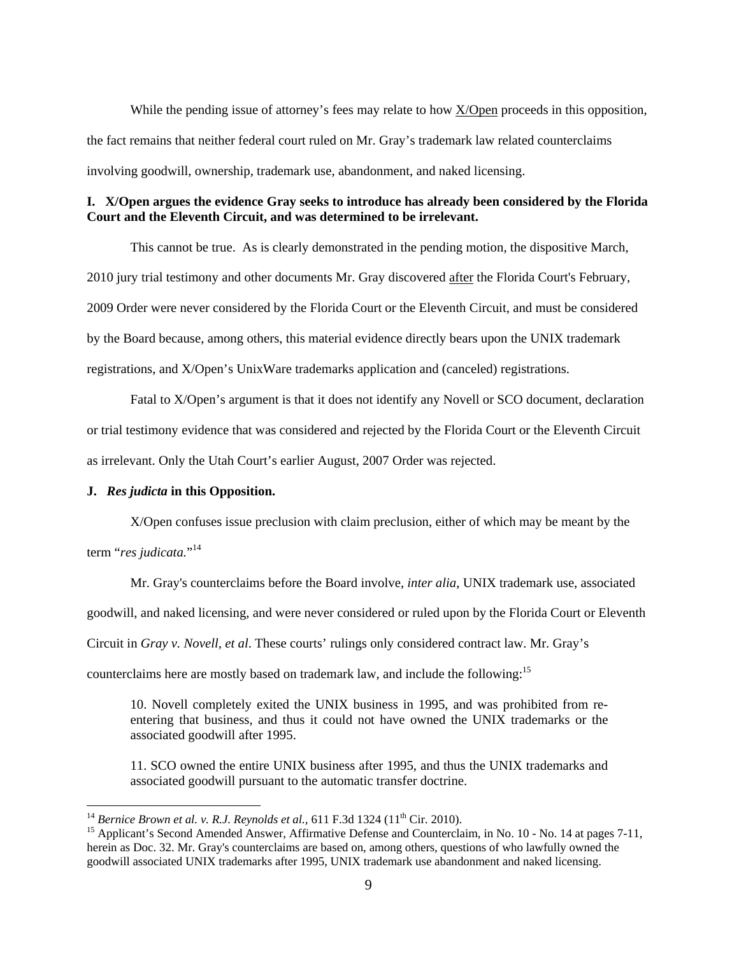While the pending issue of attorney's fees may relate to how X/Open proceeds in this opposition, the fact remains that neither federal court ruled on Mr. Gray's trademark law related counterclaims involving goodwill, ownership, trademark use, abandonment, and naked licensing.

### **I. X/Open argues the evidence Gray seeks to introduce has already been considered by the Florida Court and the Eleventh Circuit, and was determined to be irrelevant.**

This cannot be true. As is clearly demonstrated in the pending motion, the dispositive March, 2010 jury trial testimony and other documents Mr. Gray discovered after the Florida Court's February, 2009 Order were never considered by the Florida Court or the Eleventh Circuit, and must be considered by the Board because, among others, this material evidence directly bears upon the UNIX trademark registrations, and X/Open's UnixWare trademarks application and (canceled) registrations.

Fatal to X/Open's argument is that it does not identify any Novell or SCO document, declaration or trial testimony evidence that was considered and rejected by the Florida Court or the Eleventh Circuit as irrelevant. Only the Utah Court's earlier August, 2007 Order was rejected.

#### **J.** *Res judicta* **in this Opposition.**

<u>.</u>

X/Open confuses issue preclusion with claim preclusion, either of which may be meant by the term "*res judicata.*" 14

Mr. Gray's counterclaims before the Board involve, *inter alia*, UNIX trademark use, associated

goodwill, and naked licensing, and were never considered or ruled upon by the Florida Court or Eleventh

Circuit in *Gray v. Novell, et al*. These courts' rulings only considered contract law. Mr. Gray's

counterclaims here are mostly based on trademark law, and include the following:<sup>15</sup>

10. Novell completely exited the UNIX business in 1995, and was prohibited from reentering that business, and thus it could not have owned the UNIX trademarks or the associated goodwill after 1995.

11. SCO owned the entire UNIX business after 1995, and thus the UNIX trademarks and associated goodwill pursuant to the automatic transfer doctrine.

<sup>&</sup>lt;sup>14</sup> *Bernice Brown et al. v. R.J. Reynolds et al.,* 611 F.3d 1324 (11<sup>th</sup> Cir. 2010).

<sup>&</sup>lt;sup>15</sup> Applicant's Second Amended Answer, Affirmative Defense and Counterclaim, in No. 10 - No. 14 at pages 7-11, herein as Doc. 32. Mr. Gray's counterclaims are based on, among others, questions of who lawfully owned the goodwill associated UNIX trademarks after 1995, UNIX trademark use abandonment and naked licensing.